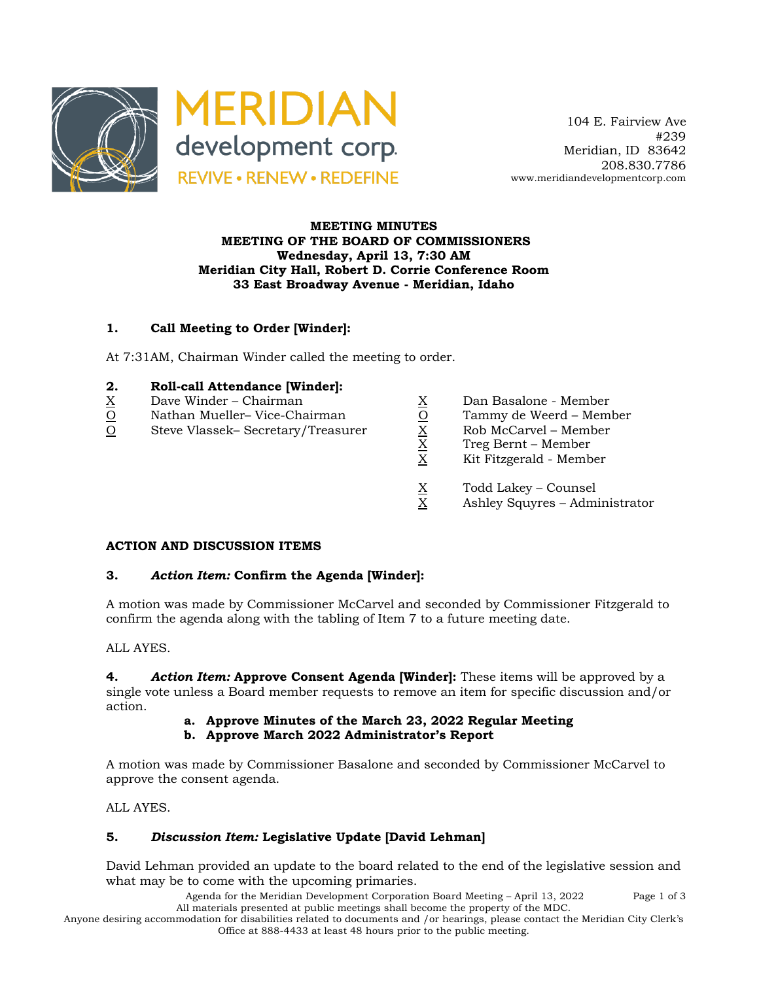

 104 E. Fairview Ave #239 Meridian, ID 83642 208.830.7786 www.meridiandevelopmentcorp.com

#### **MEETING MINUTES MEETING OF THE BOARD OF COMMISSIONERS Wednesday, April 13, 7:30 AM Meridian City Hall, Robert D. Corrie Conference Room 33 East Broadway Avenue - Meridian, Idaho**

# **1. Call Meeting to Order [Winder]:**

At 7:31AM, Chairman Winder called the meeting to order.

# **2. Roll-call Attendance [Winder]:**

- 
- O Nathan Mueller– Vice-Chairman O Tammy de Weerd Member
- $\begin{array}{lll} \underline{X} & \text{Dave Winder} \text{Chairman} & \underline{X} & \text{Dan Basalone Member} \\ \underline{O} & \text{Stathan Mueller} \text{Vice-Chairman} & \underline{O} & \text{Tammy de Weerd Member} \\ \underline{O} & \text{Steve Vlassek} \text{Secretary/Treasure} & \underline{X} & \text{Rob McCarvel Member} \\ \underline{X} & \text{X} & \text{Kit Fitzgerald Member} \\ \end{array}$ O Steve Vlassek– Secretary/Treasurer X Rob McCarvel – Member
- -
	-
	- X Treg Bernt Member
	- X Kit Fitzgerald Member
	- $\frac{X}{X}$  Todd Lakey Counsel<br>X Ashley Squyres Admi
	- Ashley Squyres Administrator

# **ACTION AND DISCUSSION ITEMS**

# **3.** *Action Item:* **Confirm the Agenda [Winder]:**

A motion was made by Commissioner McCarvel and seconded by Commissioner Fitzgerald to confirm the agenda along with the tabling of Item 7 to a future meeting date.

ALL AYES.

**4.** *Action Item:* **Approve Consent Agenda [Winder]:** These items will be approved by a single vote unless a Board member requests to remove an item for specific discussion and/or action.

**a. Approve Minutes of the March 23, 2022 Regular Meeting**

# **b. Approve March 2022 Administrator's Report**

A motion was made by Commissioner Basalone and seconded by Commissioner McCarvel to approve the consent agenda.

ALL AYES.

# **5.** *Discussion Item:* **Legislative Update [David Lehman]**

David Lehman provided an update to the board related to the end of the legislative session and what may be to come with the upcoming primaries.

> Agenda for the Meridian Development Corporation Board Meeting – April 13, 2022 Page 1 of 3 All materials presented at public meetings shall become the property of the MDC.

Anyone desiring accommodation for disabilities related to documents and /or hearings, please contact the Meridian City Clerk's Office at 888-4433 at least 48 hours prior to the public meeting.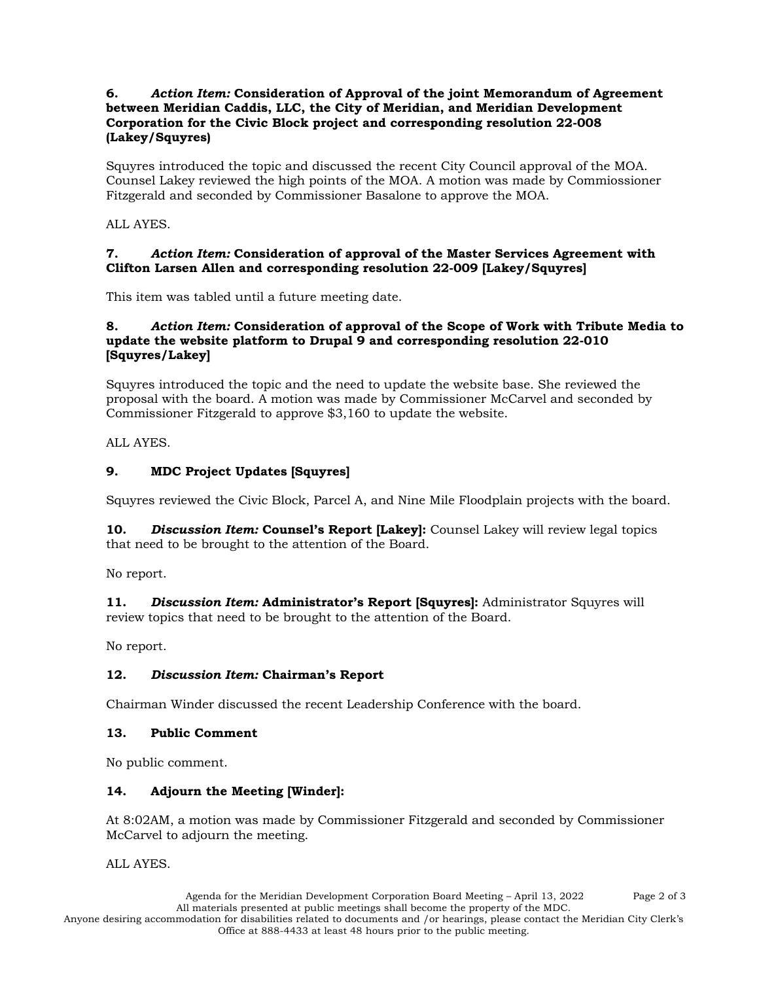# **6.** *Action Item:* **Consideration of Approval of the joint Memorandum of Agreement between Meridian Caddis, LLC, the City of Meridian, and Meridian Development Corporation for the Civic Block project and corresponding resolution 22-008 (Lakey/Squyres)**

Squyres introduced the topic and discussed the recent City Council approval of the MOA. Counsel Lakey reviewed the high points of the MOA. A motion was made by Commiossioner Fitzgerald and seconded by Commissioner Basalone to approve the MOA.

ALL AYES.

# **7.** *Action Item:* **Consideration of approval of the Master Services Agreement with Clifton Larsen Allen and corresponding resolution 22-009 [Lakey/Squyres]**

This item was tabled until a future meeting date.

#### **8.** *Action Item:* **Consideration of approval of the Scope of Work with Tribute Media to update the website platform to Drupal 9 and corresponding resolution 22-010 [Squyres/Lakey]**

Squyres introduced the topic and the need to update the website base. She reviewed the proposal with the board. A motion was made by Commissioner McCarvel and seconded by Commissioner Fitzgerald to approve \$3,160 to update the website.

ALL AYES.

# **9. MDC Project Updates [Squyres]**

Squyres reviewed the Civic Block, Parcel A, and Nine Mile Floodplain projects with the board.

**10.** *Discussion Item:* **Counsel's Report [Lakey]:** Counsel Lakey will review legal topics that need to be brought to the attention of the Board.

No report.

**11.** *Discussion Item:* **Administrator's Report [Squyres]:** Administrator Squyres will review topics that need to be brought to the attention of the Board.

No report.

# **12.** *Discussion Item:* **Chairman's Report**

Chairman Winder discussed the recent Leadership Conference with the board.

# **13. Public Comment**

No public comment.

# **14. Adjourn the Meeting [Winder]:**

At 8:02AM, a motion was made by Commissioner Fitzgerald and seconded by Commissioner McCarvel to adjourn the meeting.

ALL AYES.